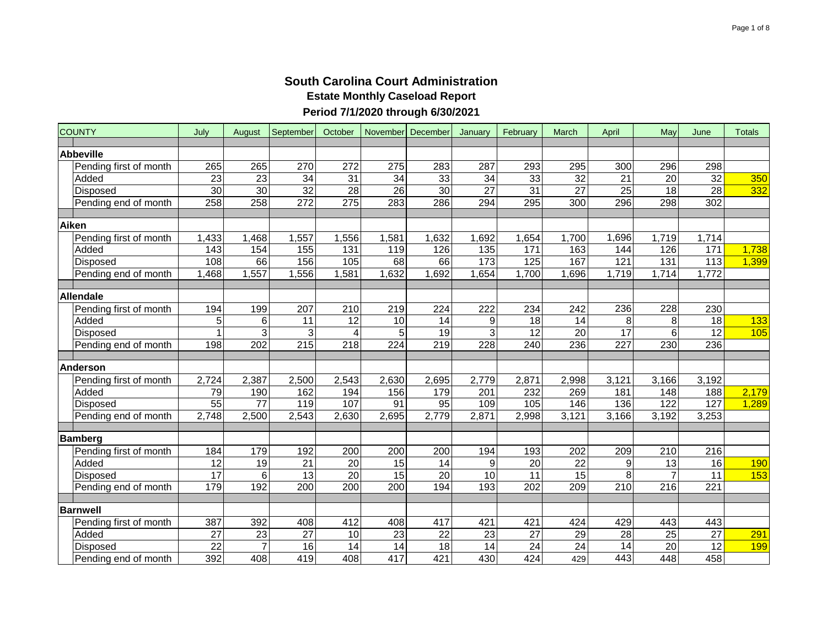| <b>COUNTY</b>          | July              | August          | September        | October          | November December |                 | January          | February           | March           | April           | May              | June             | <b>Totals</b> |
|------------------------|-------------------|-----------------|------------------|------------------|-------------------|-----------------|------------------|--------------------|-----------------|-----------------|------------------|------------------|---------------|
| <b>Abbeville</b>       |                   |                 |                  |                  |                   |                 |                  |                    |                 |                 |                  |                  |               |
| Pending first of month | 265               | 265             | 270              | 272              | 275               | 283             | 287              | 293                | 295             | 300             | 296              | 298              |               |
| Added                  | 23                | $\overline{23}$ | 34               | 31               | 34                | 33              | $\overline{34}$  | 33                 | 32              | $\overline{21}$ | 20               | 32               | 350           |
| <b>Disposed</b>        | $\overline{30}$   | $\overline{30}$ | 32               | $\overline{28}$  | $\overline{26}$   | $\overline{30}$ | $\overline{27}$  | $\overline{31}$    | $\overline{27}$ | $\overline{25}$ | $\overline{18}$  | 28               | 332           |
| Pending end of month   | 258               | 258             | 272              | $\overline{275}$ | 283               | 286             | 294              | 295                | 300             | 296             | 298              | 302              |               |
| <b>Aiken</b>           |                   |                 |                  |                  |                   |                 |                  |                    |                 |                 |                  |                  |               |
| Pending first of month | 1,433             | 1,468           | 1,557            | 1,556            | 1,581             | 1,632           | 1,692            | ,654               | 1,700           | 1,696           | 1,719            | 1,714            |               |
| Added                  | $\frac{143}{143}$ | 154             | 155              | 131              | 119               | 126             | $\overline{135}$ | 171                | 163             | 144             | 126              | 171              | 1,738         |
| Disposed               | 108               | 66              | 156              | 105              | 68                | 66              | $\overline{173}$ | 125                | 167             | 121             | 131              | 113              | 1,399         |
| Pending end of month   | 1,468             | ,557            | ,556             | 1,581            | 1,632             | ,692            | 1,654            | 1,700              | 1,696           | 1,719           | 1,714            | 1,772            |               |
|                        |                   |                 |                  |                  |                   |                 |                  |                    |                 |                 |                  |                  |               |
| Allendale              |                   |                 |                  |                  |                   |                 |                  |                    |                 |                 |                  |                  |               |
| Pending first of month | 194               | 199             | 207              | 210              | 219               | 224             | 222              | 234                | 242             | 236             | 228              | 230              |               |
| Added                  | 5                 | 6               | $\overline{11}$  | $\overline{12}$  | $\overline{10}$   | 14              | 9                | 18                 | 14              | 8               | 8                | $\overline{18}$  | 133           |
| Disposed               |                   | 3               | 3                | 4                | 5                 | 19              | 3                | 12                 | $\overline{20}$ | 17              | 6                | $\overline{12}$  | 105           |
| Pending end of month   | 198               | 202             | $\overline{215}$ | 218              | 224               | 219             | 228              | 240                | 236             | 227             | 230              | 236              |               |
|                        |                   |                 |                  |                  |                   |                 |                  |                    |                 |                 |                  |                  |               |
| <b>Anderson</b>        |                   |                 |                  |                  |                   |                 |                  |                    |                 |                 |                  |                  |               |
| Pending first of month | 2,724             | 2,387           | 2,500            | 2,543            | 2,630             | 2,695           | 2,779            | $\overline{2,871}$ | 2,998           | 3,121           | 3,166            | 3,192            |               |
| Added                  | 79                | 190             | 162              | 194              | 156               | 179             | 201              | 232                | 269             | 181             | 148              | 188              | 2,179         |
| Disposed               | 55                | $\overline{77}$ | 119              | 107              | 91                | 95              | 109              | 105                | 146             | 136             | 122              | 127              | 1,289         |
| Pending end of month   | 2,748             | 2,500           | 2,543            | 2,630            | 2,695             | 2,779           | 2,871            | 2,998              | 3,121           | 3,166           | 3,192            | 3,253            |               |
| Bamberg                |                   |                 |                  |                  |                   |                 |                  |                    |                 |                 |                  |                  |               |
| Pending first of month | 184               | 179             | 192              | 200              | 200               | 200             | 194              | 193                | 202             | 209             | 210              | 216              |               |
| Added                  | 12                | 19              | 21               | 20               | 15                | 14              | 9                | 20                 | 22              | 9               | 13               | 16               | 190           |
| <b>Disposed</b>        | 17                | 6               | 13               | 20               | $\overline{15}$   | 20              | 10               | 11                 | 15              | 8               | $\overline{7}$   | 11               | 153           |
| Pending end of month   | 179               | 192             | $\overline{200}$ | $\overline{200}$ | $\overline{200}$  | 194             | 193              | $\overline{202}$   | 209             | 210             | $\overline{216}$ | $\overline{221}$ |               |
|                        |                   |                 |                  |                  |                   |                 |                  |                    |                 |                 |                  |                  |               |
| <b>Barnwell</b>        |                   |                 |                  |                  |                   |                 |                  |                    |                 |                 |                  |                  |               |
| Pending first of month | 387               | 392             | 408              | 412              | 408               | 417             | 421              | 421                | 424             | 429             | 443              | 443              |               |
| Added                  | 27                | 23              | 27               | 10               | 23                | 22              | 23               | 27                 | 29              | $\overline{28}$ | 25               | 27               | 291           |
| <b>Disposed</b>        | 22                | 7               | 16               | 14               | 14                | 18              | 14               | 24                 | $\overline{24}$ | 14              | 20               | 12               | <b>199</b>    |
| Pending end of month   | 392               | 408             | 419              | 408              | 417               | 421             | 430              | 424                | 429             | 443             | 448              | 458              |               |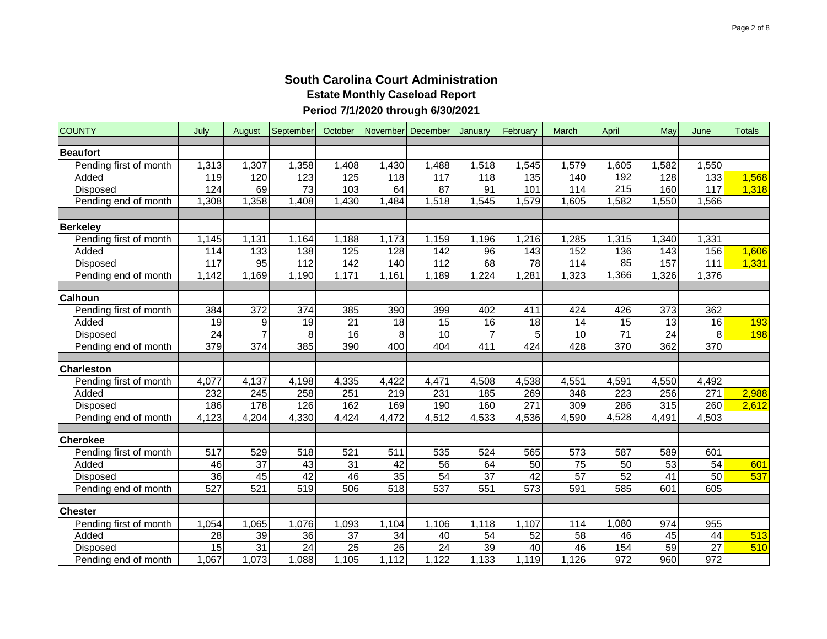| <b>COUNTY</b>          | July  | August           | September        | October | November December |       | January         | February         | March           | April           | May              | June             | <b>Totals</b> |
|------------------------|-------|------------------|------------------|---------|-------------------|-------|-----------------|------------------|-----------------|-----------------|------------------|------------------|---------------|
| <b>Beaufort</b>        |       |                  |                  |         |                   |       |                 |                  |                 |                 |                  |                  |               |
| Pending first of month | 1,313 | 1,307            | 1,358            | 1,408   | 1,430             | 1,488 | 1,518           | 1,545            | 1,579           | 1,605           | 1,582            | 1,550            |               |
| Added                  | 119   | 120              | 123              | 125     | $\overline{118}$  | 117   | 118             | 135              | 140             | 192             | 128              | 133              | 1,568         |
| Disposed               | 124   | 69               | 73               | 103     | 64                | 87    | 91              | 101              | 114             | 215             | 160              | 117              | 1,318         |
| Pending end of month   | ,308  | 1,358            | 1,408            | 1,430   | 1,484             | 1,518 | 1,545           | 1,579            | 1,605           | 1,582           | 1,550            | 1,566            |               |
|                        |       |                  |                  |         |                   |       |                 |                  |                 |                 |                  |                  |               |
| <b>Berkeley</b>        |       |                  |                  |         |                   |       |                 |                  |                 |                 |                  |                  |               |
| Pending first of month | 1,145 | 1,131            | 1,164            | 1,188   | 1,173             | 1,159 | 1,196           | 1,216            | 1,285           | 1,315           | 1,340            | 1,331            |               |
| Added                  | 114   | 133              | 138              | 125     | 128               | 142   | $\overline{96}$ | 143              | 152             | 136             | 143              | 156              | 1,606         |
| <b>Disposed</b>        | 117   | 95               | 112              | 142     | 140               | 112   | 68              | 78               | 114             | 85              | 157              | 111              | 1,331         |
| Pending end of month   | 1,142 | 1,169            | 1,190            | 1,171   | 1,161             | 1,189 | 1,224           | 1,281            | 1,323           | 1,366           | 1,326            | 1,376            |               |
|                        |       |                  |                  |         |                   |       |                 |                  |                 |                 |                  |                  |               |
| Calhoun                |       |                  |                  |         |                   |       |                 |                  |                 |                 |                  |                  |               |
| Pending first of month | 384   | $\overline{372}$ | $\overline{374}$ | 385     | 390               | 399   | 402             | 411              | 424             | 426             | $\overline{373}$ | 362              |               |
| Added                  | 19    | $\boldsymbol{9}$ | 19               | 21      | 18                | 15    | 16              | 18               | 14              | 15              | 13               | 16               | 193           |
| <b>Disposed</b>        | 24    | $\overline{7}$   | 8                | 16      | 8                 | 10    | $\overline{7}$  | 5                | 10              | $\overline{71}$ | $\overline{24}$  | 8                | 198           |
| Pending end of month   | 379   | $\overline{374}$ | 385              | 390     | 400               | 404   | 411             | 424              | 428             | 370             | 362              | $\overline{370}$ |               |
| <b>Charleston</b>      |       |                  |                  |         |                   |       |                 |                  |                 |                 |                  |                  |               |
| Pending first of month | 4,077 | 4,137            | 4,198            | 4,335   | 4,422             | 4,471 | 4,508           | 4,538            | 4,551           | 4,591           | 4,550            | 4,492            |               |
| Added                  | 232   | 245              | 258              | 251     | 219               | 231   | 185             | 269              | 348             | 223             | 256              | 271              | 2,988         |
| <b>Disposed</b>        | 186   | 178              | 126              | 162     | 169               | 190   | 160             | 271              | 309             | 286             | 315              | 260              | 2,612         |
| Pending end of month   | 4,123 | 4,204            | 4,330            | 4,424   | 4,472             | 4,512 | 4,533           | 4,536            | 4,590           | 4,528           | 4,491            | 4,503            |               |
|                        |       |                  |                  |         |                   |       |                 |                  |                 |                 |                  |                  |               |
| <b>Cherokee</b>        |       |                  |                  |         |                   |       |                 |                  |                 |                 |                  |                  |               |
| Pending first of month | 517   | 529              | 518              | 521     | 511               | 535   | 524             | 565              | 573             | 587             | 589              | 601              |               |
| Added                  | 46    | $\overline{37}$  | 43               | 31      | 42                | 56    | 64              | 50               | $\overline{75}$ | $\overline{50}$ | $\overline{53}$  | 54               | 601           |
| <b>Disposed</b>        | 36    | 45               | 42               | 46      | $\overline{35}$   | 54    | $\overline{37}$ | 42               | $\overline{57}$ | 52              | 41               | 50               | 537           |
| Pending end of month   | 527   | 521              | 519              | 506     | 518               | 537   | 551             | $\overline{573}$ | 591             | 585             | 601              | 605              |               |
|                        |       |                  |                  |         |                   |       |                 |                  |                 |                 |                  |                  |               |
| <b>Chester</b>         |       |                  |                  |         |                   |       |                 |                  |                 |                 |                  |                  |               |
| Pending first of month | 1,054 | 1,065            | 1,076            | 1,093   | 1,104             | 1,106 | 1,118           | 1,107            | 114             | 1,080           | 974              | 955              |               |
| Added                  | 28    | 39               | 36               | 37      | 34                | 40    | 54              | 52               | $\overline{58}$ | 46              | 45               | 44               | 513           |
| Disposed               | 15    | 31               | 24               | 25      | 26                | 24    | $\overline{39}$ | 40               | 46              | 154             | 59               | $\overline{27}$  | 510           |
| Pending end of month   | 1,067 | 1,073            | 1,088            | 1,105   | 1,112             | 1,122 | 1,133           | 1,119            | 1,126           | 972             | 960              | 972              |               |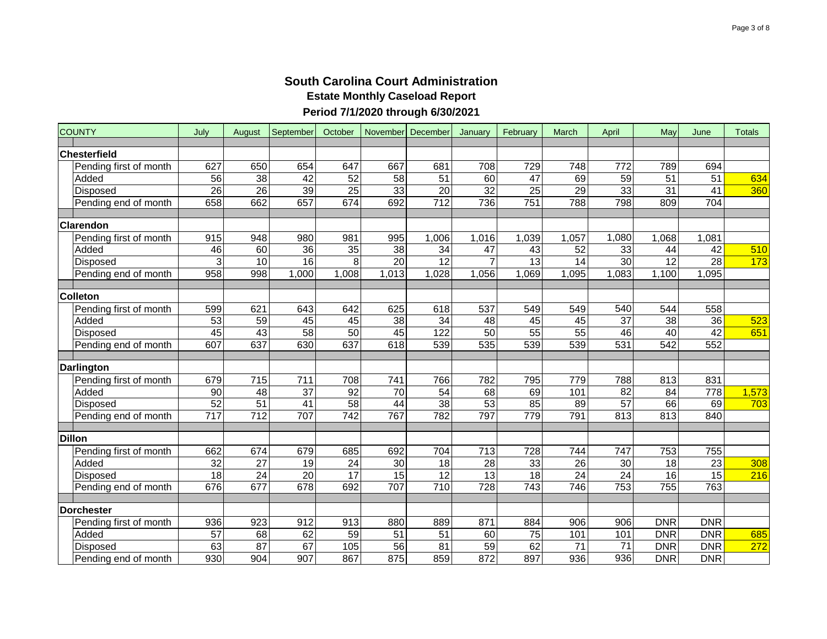| <b>COUNTY</b>          | July            | August           | September        | October         | November December |                 | January          | February        | March           | April            | May              | June            | <b>Totals</b> |
|------------------------|-----------------|------------------|------------------|-----------------|-------------------|-----------------|------------------|-----------------|-----------------|------------------|------------------|-----------------|---------------|
| Chesterfield           |                 |                  |                  |                 |                   |                 |                  |                 |                 |                  |                  |                 |               |
| Pending first of month | 627             | 650              | 654              | 647             | 667               | 681             | 708              | 729             | 748             | 772              | 789              | 694             |               |
| Added                  | 56              | 38               | 42               | 52              | 58                | 51              | 60               | 47              | 69              | $\overline{59}$  | 51               | 51              | 634           |
| Disposed               | $\overline{26}$ | 26               | 39               | $\overline{25}$ | 33                | $\overline{20}$ | $\overline{32}$  | $\overline{25}$ | 29              | 33               | $\overline{31}$  | $\overline{41}$ | 360           |
| Pending end of month   | 658             | 662              | 657              | 674             | 692               | 712             | 736              | 751             | 788             | 798              | 809              | 704             |               |
|                        |                 |                  |                  |                 |                   |                 |                  |                 |                 |                  |                  |                 |               |
| Clarendon              |                 |                  |                  |                 |                   |                 |                  |                 |                 |                  |                  |                 |               |
| Pending first of month | 915             | 948              | 980              | 981             | 995               | 1,006           | 1,016            | 1,039           | 1,057           | 1,080            | 1,068            | 1,081           |               |
| Added                  | 46              | 60               | 36               | $\overline{35}$ | $\overline{38}$   | 34              | $\overline{47}$  | 43              | $\overline{52}$ | 33               | 44               | 42              | 510           |
| <b>Disposed</b>        | 3               | 10               | 16               | 8               | $\overline{20}$   | 12              | $\overline{7}$   | $\overline{13}$ | $\overline{14}$ | 30               | 12               | $\overline{28}$ | 173           |
| Pending end of month   | 958             | 998              | 1,000            | 1,008           | 1,013             | 1,028           | 1,056            | ,069<br>1       | 1,095           | 1,083            | 1,100            | 1,095           |               |
| <b>Colleton</b>        |                 |                  |                  |                 |                   |                 |                  |                 |                 |                  |                  |                 |               |
| Pending first of month | 599             | 621              | 643              | 642             | 625               | 618             | 537              | 549             | 549             | 540              | 544              | 558             |               |
| Added                  | 53              | 59               | 45               | 45              | $\overline{38}$   | 34              | 48               | 45              | 45              | $\overline{37}$  | 38               | $\overline{36}$ | 523           |
| Disposed               | 45              | 43               | 58               | 50              | 45                | 122             | 50               | 55              | 55              | 46               | 40               | 42              | 651           |
| Pending end of month   | 607             | 637              | 630              | 637             | 618               | 539             | 535              | 539             | 539             | 531              | $\overline{542}$ | 552             |               |
|                        |                 |                  |                  |                 |                   |                 |                  |                 |                 |                  |                  |                 |               |
| Darlington             |                 |                  |                  |                 |                   |                 |                  |                 |                 |                  |                  |                 |               |
| Pending first of month | 679             | $\overline{715}$ | 711              | 708             | 741               | 766             | 782              | 795             | 779             | 788              | 813              | 831             |               |
| Added                  | 90              | $\overline{48}$  | 37               | $\overline{92}$ | 70                | 54              | 68               | 69              | 101             | 82               | 84               | 778             | 1,573         |
| <b>Disposed</b>        | 52              | 51               | $\overline{41}$  | 58              | 44                | $\overline{38}$ | 53               | 85              | 89              | 57               | 66               | 69              | 703           |
| Pending end of month   | 717             | 712              | 707              | 742             | 767               | 782             | 797              | 779             | 791             | 813              | 813              | 840             |               |
| <b>Dillon</b>          |                 |                  |                  |                 |                   |                 |                  |                 |                 |                  |                  |                 |               |
| Pending first of month | 662             | 674              | 679              | 685             | 692               | 704             | $\overline{713}$ | 728             | 744             | 747              | 753              | 755             |               |
| Added                  | 32              | $\overline{27}$  | 19               | 24              | 30                | 18              | $\overline{28}$  | 33              | 26              | 30               | 18               | $\overline{23}$ | 308           |
| <b>Disposed</b>        | 18              | 24               | 20               | 17              | 15                | 12              | 13               | 18              | 24              | $\overline{24}$  | 16               | 15              | 216           |
| Pending end of month   | 676             | 677              | $\overline{678}$ | 692             | 707               | 710             | 728              | 743             | 746             | $\overline{753}$ | $\overline{755}$ | 763             |               |
|                        |                 |                  |                  |                 |                   |                 |                  |                 |                 |                  |                  |                 |               |
| Dorchester             |                 |                  |                  |                 |                   |                 |                  |                 |                 |                  |                  |                 |               |
| Pending first of month | 936             | 923              | 912              | 913             | 880               | 889             | 871              | 884             | 906             | 906              | <b>DNR</b>       | <b>DNR</b>      |               |
| Added                  | 57              | 68               | 62               | 59              | 51                | 51              | 60               | 75              | 101             | 101              | <b>DNR</b>       | <b>DNR</b>      | 685           |
| <b>Disposed</b>        | 63              | $\overline{87}$  | 67               | 105             | $\overline{56}$   | 81              | $\overline{59}$  | 62              | 71              | $\overline{71}$  | <b>DNR</b>       | <b>DNR</b>      | 272           |
| Pending end of month   | 930             | 904              | 907              | 867             | 875               | 859             | 872              | 897             | 936             | 936              | <b>DNR</b>       | <b>DNR</b>      |               |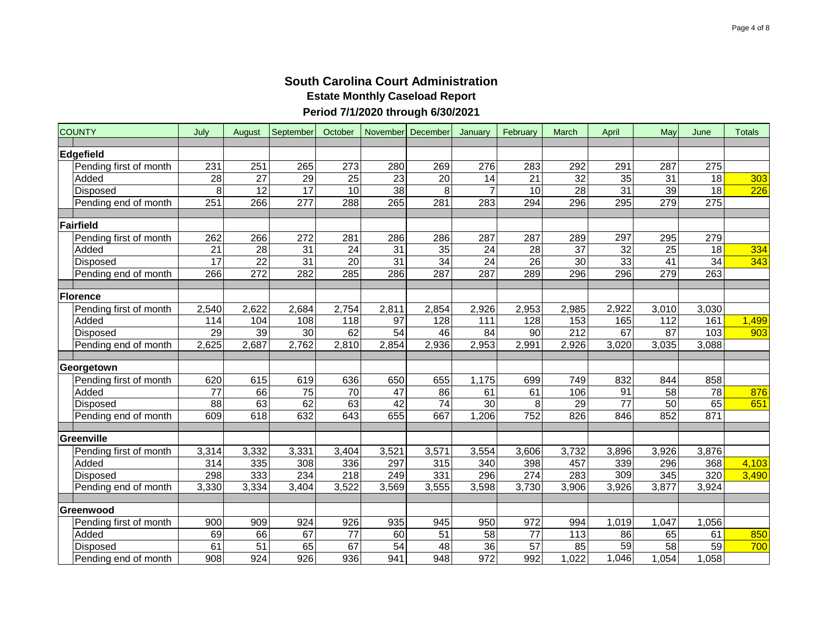| <b>COUNTY</b>     |                        | July            | August          | September        | October         | November December |                 | January          | February        | March           | April           | May             | June            | <b>Totals</b>    |
|-------------------|------------------------|-----------------|-----------------|------------------|-----------------|-------------------|-----------------|------------------|-----------------|-----------------|-----------------|-----------------|-----------------|------------------|
| Edgefield         |                        |                 |                 |                  |                 |                   |                 |                  |                 |                 |                 |                 |                 |                  |
|                   | Pending first of month | 231             | 251             | 265              | 273             | 280               | 269             | 276              | 283             | 292             | 291             | 287             | 275             |                  |
|                   | Added                  | 28              | 27              | 29               | 25              | $\overline{23}$   | 20              | 14               | 21              | 32              | $\overline{35}$ | 31              | 18              | 303              |
|                   | <b>Disposed</b>        | 8               | 12              | $\overline{17}$  | 10              | 38                | 8               | $\overline{7}$   | $\overline{10}$ | 28              | 31              | $\overline{39}$ | $\overline{18}$ | $\overline{226}$ |
|                   | Pending end of month   | 251             | 266             | 277              | 288             | $\overline{265}$  | 281             | 283              | 294             | 296             | 295             | 279             | 275             |                  |
| Fairfield         |                        |                 |                 |                  |                 |                   |                 |                  |                 |                 |                 |                 |                 |                  |
|                   | Pending first of month | 262             | 266             | 272              | 281             | 286               | 286             | 287              | 287             | 289             | 297             | 295             | 279             |                  |
|                   | Added                  | $\overline{21}$ | 28              | $\overline{31}$  | $\overline{24}$ | 31                | $\overline{35}$ | $\overline{24}$  | $\overline{28}$ | $\overline{37}$ | 32              | $\overline{25}$ | $\overline{18}$ | 334              |
|                   | Disposed               | 17              | $\overline{22}$ | $\overline{31}$  | $\overline{20}$ | 31                | 34              | $\overline{24}$  | $\overline{26}$ | 30              | $\overline{33}$ | $\overline{41}$ | $\overline{34}$ | 343              |
|                   | Pending end of month   | 266             | 272             | 282              | 285             | 286               | 287             | 287              | 289             | 296             | 296             | 279             | 263             |                  |
|                   |                        |                 |                 |                  |                 |                   |                 |                  |                 |                 |                 |                 |                 |                  |
| Florence          |                        |                 |                 |                  |                 |                   |                 |                  |                 |                 |                 |                 |                 |                  |
|                   | Pending first of month | 2,540           | 2,622           | 2,684            | 2,754           | 2,811             | 2,854           | 2,926            | 2,953           | 2,985           | 2,922           | 3,010           | 3,030           |                  |
|                   | Added                  | 114             | 104             | 108              | 118             | $\overline{97}$   | 128             | 111              | 128             | 153             | 165             | 112             | 161             | 1,499            |
|                   | Disposed               | 29              | 39              | 30               | 62              | 54                | 46              | 84               | 90              | 212             | 67              | 87              | 103             | 903              |
|                   | Pending end of month   | 2,625           | 2,687           | 2,762            | 2,810           | 2,854             | 2,936           | 2,953            | 2,991           | 2,926           | 3,020           | 3,035           | 3,088           |                  |
|                   |                        |                 |                 |                  |                 |                   |                 |                  |                 |                 |                 |                 |                 |                  |
|                   | Georgetown             |                 |                 |                  |                 |                   |                 |                  |                 |                 |                 |                 |                 |                  |
|                   | Pending first of month | 620             | 615             | 619              | 636             | 650               | 655             | 1,175            | 699             | 749             | 832             | 844             | 858             |                  |
|                   | Added                  | 77              | 66              | 75               | 70              | $\overline{47}$   | 86              | 61               | 61              | 106             | 91              | 58              | $\overline{78}$ | 876              |
|                   | Disposed               | 88              | 63              | 62               | 63              | 42                | 74              | 30               | 8               | 29              | $\overline{77}$ | 50              | 65              | 651              |
|                   | Pending end of month   | 609             | 618             | 632              | 643             | 655               | 667             | 1,206            | 752             | 826             | 846             | 852             | 871             |                  |
| <b>Greenville</b> |                        |                 |                 |                  |                 |                   |                 |                  |                 |                 |                 |                 |                 |                  |
|                   | Pending first of month | 3,314           | 3,332           | 3,331            | 3,404           | 3,521             | 3,571           | 3,554            | 3,606           | 3,732           | 3,896           | 3,926           | 3,876           |                  |
|                   | Added                  | 314             | 335             | 308              | 336             | 297               | 315             | 340              | 398             | 457             | 339             | 296             | 368             | 4,103            |
|                   | <b>Disposed</b>        | 298             | 333             | 234              | 218             | 249               | 331             | 296              | 274             | 283             | 309             | 345             | 320             | 3,490            |
|                   | Pending end of month   | 3,330           | 3,334           | 3,404            | 3,522           | 3,569             | 3,555           | 3,598            | 3,730           | 3,906           | 3,926           | 3,877           | 3,924           |                  |
|                   |                        |                 |                 |                  |                 |                   |                 |                  |                 |                 |                 |                 |                 |                  |
|                   | Greenwood              |                 |                 |                  |                 |                   |                 |                  |                 |                 |                 |                 |                 |                  |
|                   | Pending first of month | 900             | 909             | 924              | 926             | 935               | 945             | 950              | 972             | 994             | 1,019           | 1,047           | 1,056           |                  |
|                   | Added                  | 69              | 66              | 67               | 77              | 60                | 51              | 58               | 77              | 113             | 86              | 65              | 61              | 850              |
|                   | <b>Disposed</b>        | 61              | $\overline{51}$ | 65               | 67              | $\overline{54}$   | 48              | $\overline{36}$  | $\overline{57}$ | 85              | $\overline{59}$ | $\overline{58}$ | $\overline{59}$ | 700              |
|                   | Pending end of month   | 908             | 924             | $\overline{926}$ | 936             | 941               | 948             | $\overline{972}$ | 992             | 1,022           | 1,046           | 1,054           | 1,058           |                  |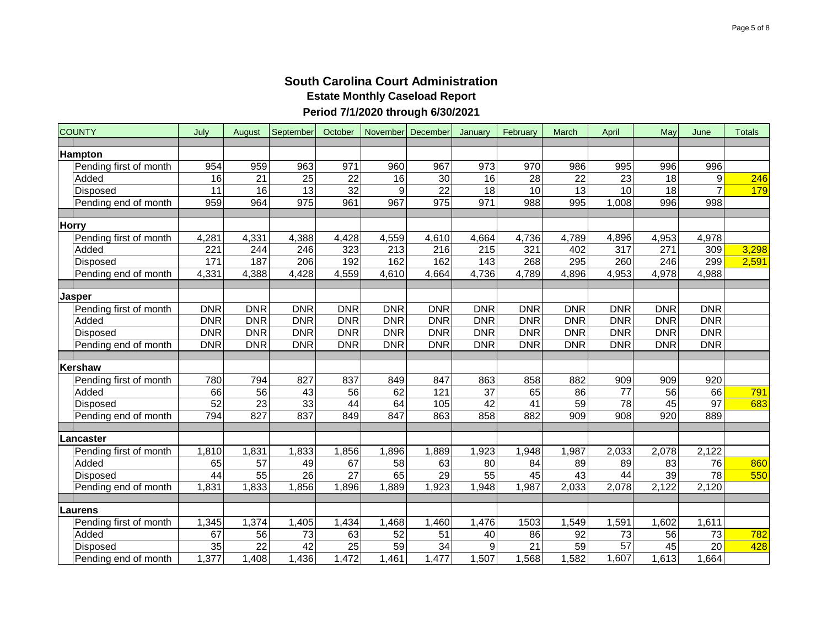|       | <b>COUNTY</b>          | July            | August          | September        | October         | November         | December        | January         | February        | March           | April            | May              | June             | <b>Totals</b> |
|-------|------------------------|-----------------|-----------------|------------------|-----------------|------------------|-----------------|-----------------|-----------------|-----------------|------------------|------------------|------------------|---------------|
|       | <b>Hampton</b>         |                 |                 |                  |                 |                  |                 |                 |                 |                 |                  |                  |                  |               |
|       | Pending first of month | 954             | 959             | 963              | 971             | 960              | 967             | 973             | 970             | 986             | 995              | 996              | 996              |               |
|       | Added                  | 16              | 21              | 25               | 22              | 16               | 30              | 16              | 28              | 22              | $\overline{23}$  | 18               | 9                | 246           |
|       | Disposed               | $\overline{11}$ | 16              | $\overline{13}$  | $\overline{32}$ | 9                | $\overline{22}$ | 18              | 10              | $\overline{13}$ | 10               | 18               |                  | 179           |
|       | Pending end of month   | 959             | 964             | $\overline{975}$ | 961             | 967              | 975             | 971             | 988             | 995             | 008              | 996              | 998              |               |
|       |                        |                 |                 |                  |                 |                  |                 |                 |                 |                 |                  |                  |                  |               |
| Horry |                        |                 |                 |                  |                 |                  |                 |                 |                 |                 |                  |                  |                  |               |
|       | Pending first of month | 4,281           | 4,331           | 4,388            | 4,428           | 4,559            | 4,610           | 4,664           | 4,736           | 4,789           | 4,896            | 4,953            | 4,978            |               |
|       | Added                  | 221             | 244             | 246              | 323             | $\overline{213}$ | 216             | 215             | 321             | 402             | 317              | 271              | 309              | 3,298         |
|       | Disposed               | 171             | 187             | 206              | 192             | 162              | 162             | $\frac{1}{143}$ | 268             | 295             | 260              | $\overline{246}$ | 299              | 2,591         |
|       | Pending end of month   | 4,331           | 4,388           | 4,428            | 4,559           | 4,610            | 4,664           | 4,736           | 4,789           | 4,896           | 4,953            | 4,978            | 4,988            |               |
|       |                        |                 |                 |                  |                 |                  |                 |                 |                 |                 |                  |                  |                  |               |
|       | <b>Jasper</b>          |                 |                 |                  |                 |                  |                 |                 |                 |                 |                  |                  |                  |               |
|       | Pending first of month | <b>DNR</b>      | <b>DNR</b>      | <b>DNR</b>       | <b>DNR</b>      | <b>DNR</b>       | <b>DNR</b>      | <b>DNR</b>      | <b>DNR</b>      | <b>DNR</b>      | <b>DNR</b>       | <b>DNR</b>       | <b>DNR</b>       |               |
|       | Added                  | <b>DNR</b>      | <b>DNR</b>      | <b>DNR</b>       | <b>DNR</b>      | <b>DNR</b>       | <b>DNR</b>      | <b>DNR</b>      | <b>DNR</b>      | <b>DNR</b>      | <b>DNR</b>       | <b>DNR</b>       | <b>DNR</b>       |               |
|       | <b>Disposed</b>        | <b>DNR</b>      | <b>DNR</b>      | <b>DNR</b>       | <b>DNR</b>      | <b>DNR</b>       | <b>DNR</b>      | <b>DNR</b>      | <b>DNR</b>      | <b>DNR</b>      | <b>DNR</b>       | <b>DNR</b>       | <b>DNR</b>       |               |
|       | Pending end of month   | <b>DNR</b>      | <b>DNR</b>      | <b>DNR</b>       | <b>DNR</b>      | <b>DNR</b>       | <b>DNR</b>      | <b>DNR</b>      | <b>DNR</b>      | <b>DNR</b>      | <b>DNR</b>       | <b>DNR</b>       | <b>DNR</b>       |               |
|       |                        |                 |                 |                  |                 |                  |                 |                 |                 |                 |                  |                  |                  |               |
|       | Kershaw                |                 |                 |                  |                 |                  |                 |                 |                 |                 |                  |                  |                  |               |
|       | Pending first of month | 780             | 794             | 827              | 837             | 849              | 847             | 863             | 858             | 882             | 909              | 909              | $\overline{920}$ |               |
|       | Added                  | 66              | 56              | 43               | 56              | 62               | 121             | $\overline{37}$ | 65              | 86              | $\overline{77}$  | $\overline{56}$  | 66               | 791           |
|       | <b>Disposed</b>        | 52              | $\overline{23}$ | 33               | 44              | 64               | 105             | 42              | 41              | 59              | 78               | 45               | $\overline{97}$  | 683           |
|       | Pending end of month   | 794             | 827             | 837              | 849             | 847              | 863             | 858             | 882             | 909             | $\overline{908}$ | 920              | 889              |               |
|       | Lancaster              |                 |                 |                  |                 |                  |                 |                 |                 |                 |                  |                  |                  |               |
|       | Pending first of month | 1,810           | 1,831           | 1,833            | 1,856           | 1,896            | 1,889           | 1,923           | 1,948           | 1,987           | 2,033            | 2,078            | 2,122            |               |
|       | Added                  | 65              | 57              | 49               | 67              | 58               | 63              | 80              | 84              | 89              | 89               | 83               | 76               | 860           |
|       | <b>Disposed</b>        | 44              | $\overline{55}$ | 26               | 27              | 65               | 29              | 55              | 45              | 43              | 44               | 39               | 78               | 550           |
|       | Pending end of month   | 1,831           | 1,833           | 1,856            | 1,896           | 1,889            | 1,923           | 1,948           | 1,987           | 2,033           | 2,078            | 2,122            | 2,120            |               |
|       |                        |                 |                 |                  |                 |                  |                 |                 |                 |                 |                  |                  |                  |               |
|       | <b>ILaurens</b>        |                 |                 |                  |                 |                  |                 |                 |                 |                 |                  |                  |                  |               |
|       | Pending first of month | 1,345           | 1,374           | 1,405            | 1,434           | 1,468            | 1,460           | 1,476           | 1503            | 1,549           | 1,591            | 1,602            | 1,611            |               |
|       | Added                  | 67              | 56              | 73               | 63              | 52               | 51              | 40              | 86              | 92              | 73               | 56               | 73               | 782           |
|       | Disposed               | $\overline{35}$ | $\overline{22}$ | $\overline{42}$  | $\overline{25}$ | 59               | $\overline{34}$ | $\overline{9}$  | $\overline{21}$ | $\overline{59}$ | $\overline{57}$  | 45               | $\overline{20}$  | 428           |
|       | Pending end of month   | 1,377           | 1,408           | 1,436            | 1,472           | 1,461            | 1,477           | 1,507           | 1,568           | 1,582           | 1,607            | 1,613            | 1,664            |               |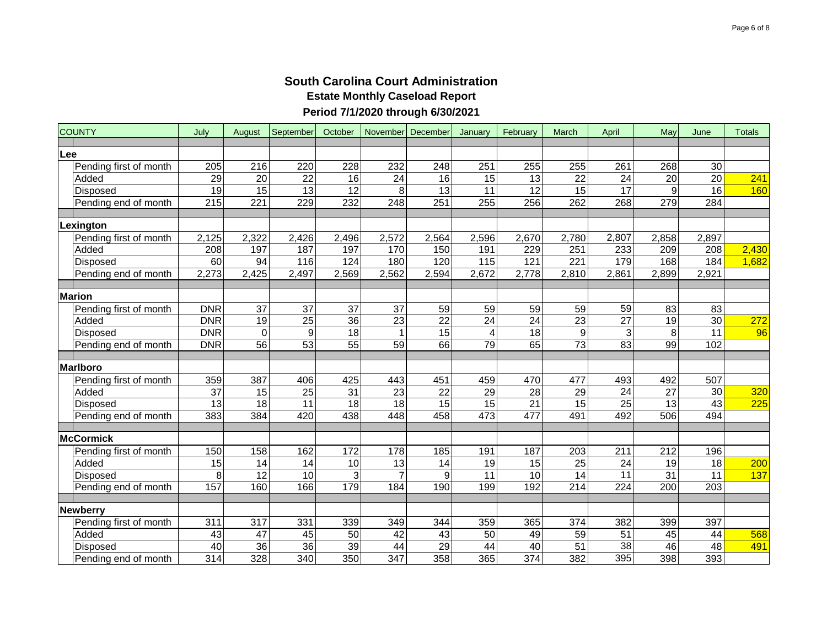| <b>COUNTY</b>                    | July             | August           | September       | October         | November December |                  | January         | February        | March            | April           | May              | June             | <b>Totals</b> |
|----------------------------------|------------------|------------------|-----------------|-----------------|-------------------|------------------|-----------------|-----------------|------------------|-----------------|------------------|------------------|---------------|
| Lee                              |                  |                  |                 |                 |                   |                  |                 |                 |                  |                 |                  |                  |               |
| Pending first of month           | 205              | 216              | 220             | 228             | 232               | 248              | 251             | 255             | 255              | 261             | 268              | 30               |               |
| Added                            | 29               | $\overline{20}$  | $\overline{22}$ | 16              | $\overline{24}$   | 16               | 15              | 13              | $\overline{22}$  | $\overline{24}$ | $\overline{20}$  | $\overline{20}$  | 241           |
| Disposed                         | $\overline{19}$  | 15               | 13              | $\overline{12}$ | 8                 | $\overline{13}$  | $\overline{11}$ | $\overline{12}$ | $\overline{15}$  | $\overline{17}$ | $\boldsymbol{9}$ | $\overline{16}$  | 160           |
| Pending end of month             | 215              | $\overline{221}$ | 229             | 232             | $\overline{248}$  | $\overline{251}$ | 255             | 256             | 262              | 268             | 279              | 284              |               |
|                                  |                  |                  |                 |                 |                   |                  |                 |                 |                  |                 |                  |                  |               |
| Lexington                        |                  |                  |                 |                 |                   |                  |                 |                 |                  |                 |                  |                  |               |
| Pending first of month           | 2,125            | 2,322            | 2,426           | 2,496           | 2,572             | 2,564            | 2,596           | 2,670           | 2,780            | 2,807           | 2,858            | 2,897            |               |
| Added                            | $\overline{208}$ | 197              | 187             | 197             | 170               | 150              | 191             | 229             | $\overline{251}$ | 233             | $\overline{209}$ | $\overline{208}$ | 2,430         |
| Disposed                         | 60               | 94               | 116             | 124             | 180               | 120              | 115             | 121             | 221              | 179             | 168              | 184              | 1,682         |
| Pending end of month             | 2,273            | 2,425            | 2,497           | 2,569           | 2,562             | 2,594            | 2,672           | 2,778           | 2,810            | 2,861           | 2,899            | 2,921            |               |
| <b>Marion</b>                    |                  |                  |                 |                 |                   |                  |                 |                 |                  |                 |                  |                  |               |
|                                  | <b>DNR</b>       | 37               | 37              | 37              | 37                | 59               | 59              | 59              | 59               | $\overline{59}$ | 83               | 83               |               |
| Pending first of month<br>Added  | <b>DNR</b>       | 19               | $\overline{25}$ | 36              | 23                | $\overline{22}$  | 24              | $\overline{24}$ | 23               | $\overline{27}$ | $\overline{19}$  | 30               | 272           |
|                                  | <b>DNR</b>       | $\mathbf 0$      | 9               | $\overline{18}$ |                   | $\overline{15}$  | 4               | 18              | 9                | 3               | 8                | 11               | 96            |
| Disposed<br>Pending end of month | <b>DNR</b>       | $\overline{56}$  | 53              | 55              | 59                | 66               | 79              | 65              | $\overline{73}$  | $\overline{83}$ | 99               | 102              |               |
|                                  |                  |                  |                 |                 |                   |                  |                 |                 |                  |                 |                  |                  |               |
| Marlboro                         |                  |                  |                 |                 |                   |                  |                 |                 |                  |                 |                  |                  |               |
| Pending first of month           | 359              | 387              | 406             | 425             | 443               | 451              | 459             | 470             | 477              | 493             | 492              | 507              |               |
| Added                            | 37               | 15               | $\overline{25}$ | 31              | 23                | $\overline{22}$  | 29              | 28              | 29               | $\overline{24}$ | $\overline{27}$  | 30               | 320           |
| Disposed                         | 13               | $\overline{18}$  | $\overline{11}$ | $\overline{18}$ | $\overline{18}$   | 15               | 15              | $\overline{21}$ | 15               | $\overline{25}$ | $\overline{13}$  | 43               | 225           |
| Pending end of month             | 383              | 384              | 420             | 438             | 448               | 458              | 473             | 477             | 491              | 492             | 506              | 494              |               |
|                                  |                  |                  |                 |                 |                   |                  |                 |                 |                  |                 |                  |                  |               |
| <b>McCormick</b>                 |                  |                  |                 |                 |                   |                  |                 |                 |                  |                 |                  |                  |               |
| Pending first of month           | 150              | 158              | 162             | 172             | 178               | 185              | 191             | 187             | 203              | 211             | 212              | 196              |               |
| Added                            | 15               | 14               | 14              | 10              | 13                | 14               | 19              | 15              | 25               | 24              | 19               | 18               | 200           |
| <b>Disposed</b>                  | 8                | $\overline{12}$  | 10              | 3               | $\overline{7}$    | 9                | 11              | 10              | 14               | $\overline{11}$ | 31               | 11               | 137           |
| Pending end of month             | 157              | 160              | 166             | 179             | 184               | 190              | 199             | 192             | 214              | 224             | 200              | 203              |               |
| <b>Newberry</b>                  |                  |                  |                 |                 |                   |                  |                 |                 |                  |                 |                  |                  |               |
| Pending first of month           | 311              | 317              | 331             | 339             | 349               | 344              | 359             | 365             | 374              | 382             | 399              | 397              |               |
| Added                            | 43               | 47               | 45              | 50              | 42                | 43               | 50              | 49              | 59               | $\overline{51}$ | 45               | 44               | 568           |
| <b>Disposed</b>                  | 40               | $\overline{36}$  | 36              | 39              | 44                | 29               | $\overline{44}$ | 40              | $\overline{51}$  | 38              | 46               | 48               | 491           |
| Pending end of month             | 314              | 328              | 340             | 350             | 347               | 358              | 365             | 374             | 382              | 395             | 398              | 393              |               |
|                                  |                  |                  |                 |                 |                   |                  |                 |                 |                  |                 |                  |                  |               |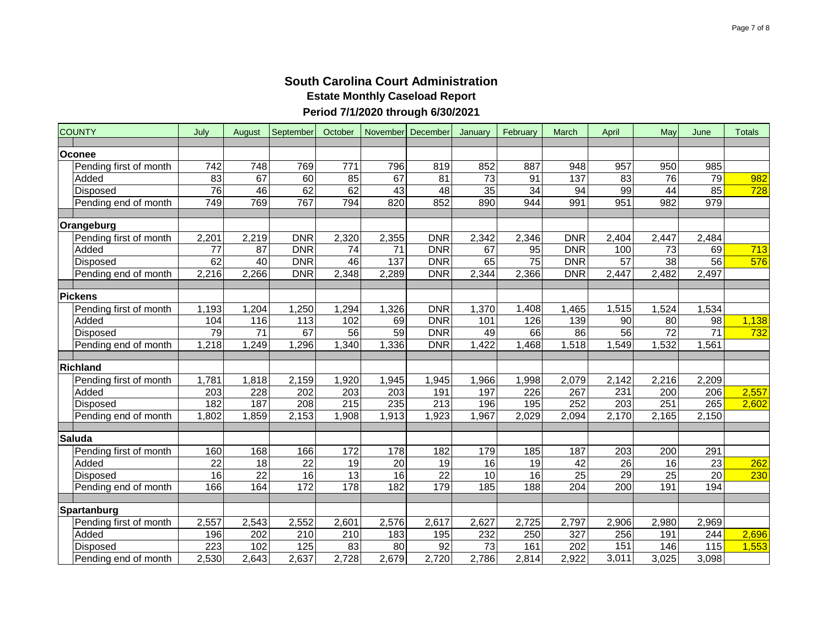| <b>COUNTY</b>            | July         | August          | September    | October          | November        | December        | January         | February                  | March        | April            | May              | June            | <b>Totals</b> |
|--------------------------|--------------|-----------------|--------------|------------------|-----------------|-----------------|-----------------|---------------------------|--------------|------------------|------------------|-----------------|---------------|
| Oconee                   |              |                 |              |                  |                 |                 |                 |                           |              |                  |                  |                 |               |
| Pending first of month   | 742          | 748             | 769          | 771              | 796             | 819             | 852             | 887                       | 948          | 957              | 950              | 985             |               |
| Added                    | 83           | 67              | 60           | 85               | 67              | 81              | $\overline{73}$ | 91                        | 137          | $\overline{83}$  | 76               | 79              | 982           |
| Disposed                 | 76           | 46              | 62           | 62               | 43              | $\overline{48}$ | $\overline{35}$ | $\overline{34}$           | 94           | 99               | $\overline{44}$  | 85              | 728           |
| Pending end of month     | 749          | 769             | 767          | 794              | 820             | 852             | 890             | 944                       | 991          | 951              | $\overline{982}$ | 979             |               |
|                          |              |                 |              |                  |                 |                 |                 |                           |              |                  |                  |                 |               |
| Orangeburg               |              |                 |              |                  |                 |                 |                 |                           |              |                  |                  |                 |               |
| Pending first of month   | 2,201        | 2,219           | <b>DNR</b>   | 2,320            | 2,355           | <b>DNR</b>      | 2,342           | 2,346                     | <b>DNR</b>   | 2,404            | 2,447            | 2,484           |               |
| Added                    | 77           | 87              | <b>DNR</b>   | 74               | $\overline{71}$ | <b>DNR</b>      | 67              | 95                        | <b>DNR</b>   | 100              | 73               | 69              | 713           |
| <b>Disposed</b>          | 62           | $\overline{40}$ | <b>DNR</b>   | 46               | 137             | <b>DNR</b>      | 65              | 75                        | <b>DNR</b>   | 57               | 38               | $\overline{56}$ | 576           |
| Pending end of month     | 2,216        | 2,266           | <b>DNR</b>   | 2,348            | 2,289           | <b>DNR</b>      | 2,344           | 2,366                     | <b>DNR</b>   | 2,447            | 2,482            | 2,497           |               |
|                          |              |                 |              |                  |                 |                 |                 |                           |              |                  |                  |                 |               |
| <b>Pickens</b>           |              |                 |              |                  |                 |                 |                 |                           |              |                  |                  |                 |               |
| Pending first of month   | 1,193        | 1,204           | 1,250        | 1,294            | 1,326           | <b>DNR</b>      | 1,370           | 1,408                     | ,465         | 1,515            | 1,524            | 1,534           |               |
| Added                    | 104          | 116             | 113          | 102              | 69              | <b>DNR</b>      | 101             | 126                       | 139          | 90               | 80               | 98              | 1,138         |
| Disposed                 | 79           | $\overline{71}$ | 67           | 56               | 59              | <b>DNR</b>      | 49              | 66                        | 86           | 56               | 72               | $\overline{71}$ | 732           |
| Pending end of month     | 1,218        | 1,249           | 1,296        | 1,340            | 1,336           | <b>DNR</b>      | 1,422           | 1,468                     | 1,518        | 1,549            | 1,532            | 1,561           |               |
|                          |              |                 |              |                  |                 |                 |                 |                           |              |                  |                  |                 |               |
| <b>Richland</b>          |              |                 |              |                  |                 |                 |                 |                           |              |                  |                  |                 |               |
| Pending first of month   | 1,781<br>203 | 1,818<br>228    | 2,159<br>202 | 1,920<br>203     | 1,945<br>203    | 1,945<br>191    | 1,966<br>197    | 1,998<br>$\overline{226}$ | 2,079<br>267 | 2,142<br>231     | 2,216<br>200     | 2,209<br>206    | 2,557         |
| Added<br><b>Disposed</b> | 182          | 187             | 208          | 215              | 235             | 213             | 196             | 195                       | 252          | $\overline{203}$ | 251              | 265             |               |
|                          |              | 1,859           | 2,153        |                  | 1,913           | 1,923           | 1,967           | 2,029                     |              | 2,170            | 2,165            |                 | 2,602         |
| Pending end of month     | 1,802        |                 |              | 1,908            |                 |                 |                 |                           | 2,094        |                  |                  | 2,150           |               |
| <b>Saluda</b>            |              |                 |              |                  |                 |                 |                 |                           |              |                  |                  |                 |               |
| Pending first of month   | 160          | 168             | 166          | 172              | 178             | 182             | 179             | 185                       | 187          | $\overline{203}$ | 200              | 291             |               |
| Added                    | 22           | 18              | 22           | 19               | $\overline{20}$ | 19              | 16              | 19                        | 42           | $\overline{26}$  | 16               | $\overline{23}$ | 262           |
| <b>Disposed</b>          | 16           | $\overline{22}$ | 16           | 13               | 16              | 22              | 10              | 16                        | 25           | 29               | 25               | 20              | 230           |
| Pending end of month     | 166          | 164             | 172          | $\overline{178}$ | 182             | 179             | 185             | 188                       | 204          | 200              | 191              | 194             |               |
|                          |              |                 |              |                  |                 |                 |                 |                           |              |                  |                  |                 |               |
| Spartanburg              |              |                 |              |                  |                 |                 |                 |                           |              |                  |                  |                 |               |
| Pending first of month   | 2,557        | 2,543           | 2,552        | 2,601            | 2,576           | 2,617           | 2,627           | 2,725                     | 2,797        | 2,906            | 2,980            | 2,969           |               |
| Added                    | 196          | 202             | 210          | 210              | 183             | 195             | 232             | 250                       | 327          | 256              | 191              | 244             | 2,696         |
| <b>Disposed</b>          | 223          | 102             | 125          | $\overline{83}$  | $\overline{80}$ | 92              | $\overline{73}$ | 161                       | 202          | 151              | 146              | 115             | 1,553         |
| Pending end of month     | 2,530        | 2,643           | 2,637        | 2,728            | 2,679           | 2,720           | 2,786           | 2,814                     | 2,922        | 3,011            | 3,025            | 3,098           |               |